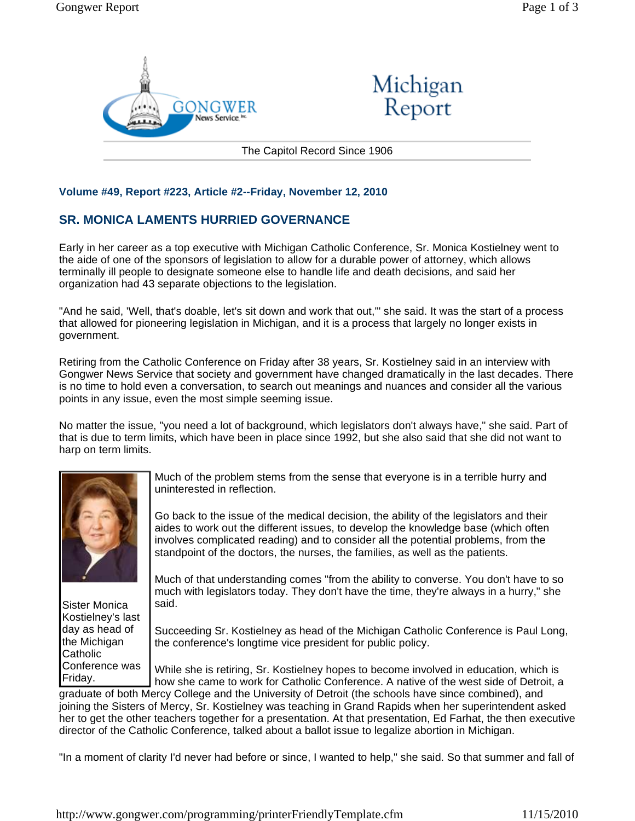



The Capitol Record Since 1906

## **Volume #49, Report #223, Article #2--Friday, November 12, 2010**

## **SR. MONICA LAMENTS HURRIED GOVERNANCE**

Early in her career as a top executive with Michigan Catholic Conference, Sr. Monica Kostielney went to the aide of one of the sponsors of legislation to allow for a durable power of attorney, which allows terminally ill people to designate someone else to handle life and death decisions, and said her organization had 43 separate objections to the legislation.

"And he said, 'Well, that's doable, let's sit down and work that out,'" she said. It was the start of a process that allowed for pioneering legislation in Michigan, and it is a process that largely no longer exists in government.

Retiring from the Catholic Conference on Friday after 38 years, Sr. Kostielney said in an interview with Gongwer News Service that society and government have changed dramatically in the last decades. There is no time to hold even a conversation, to search out meanings and nuances and consider all the various points in any issue, even the most simple seeming issue.

No matter the issue, "you need a lot of background, which legislators don't always have," she said. Part of that is due to term limits, which have been in place since 1992, but she also said that she did not want to harp on term limits.



Much of the problem stems from the sense that everyone is in a terrible hurry and uninterested in reflection.

Go back to the issue of the medical decision, the ability of the legislators and their aides to work out the different issues, to develop the knowledge base (which often involves complicated reading) and to consider all the potential problems, from the standpoint of the doctors, the nurses, the families, as well as the patients.

Sister Monica Kostielney's last day as head of the Michigan Catholic Conference was Friday.

Much of that understanding comes "from the ability to converse. You don't have to so much with legislators today. They don't have the time, they're always in a hurry," she said.

Succeeding Sr. Kostielney as head of the Michigan Catholic Conference is Paul Long, the conference's longtime vice president for public policy.

While she is retiring, Sr. Kostielney hopes to become involved in education, which is how she came to work for Catholic Conference. A native of the west side of Detroit, a

graduate of both Mercy College and the University of Detroit (the schools have since combined), and joining the Sisters of Mercy, Sr. Kostielney was teaching in Grand Rapids when her superintendent asked her to get the other teachers together for a presentation. At that presentation, Ed Farhat, the then executive director of the Catholic Conference, talked about a ballot issue to legalize abortion in Michigan.

"In a moment of clarity I'd never had before or since, I wanted to help," she said. So that summer and fall of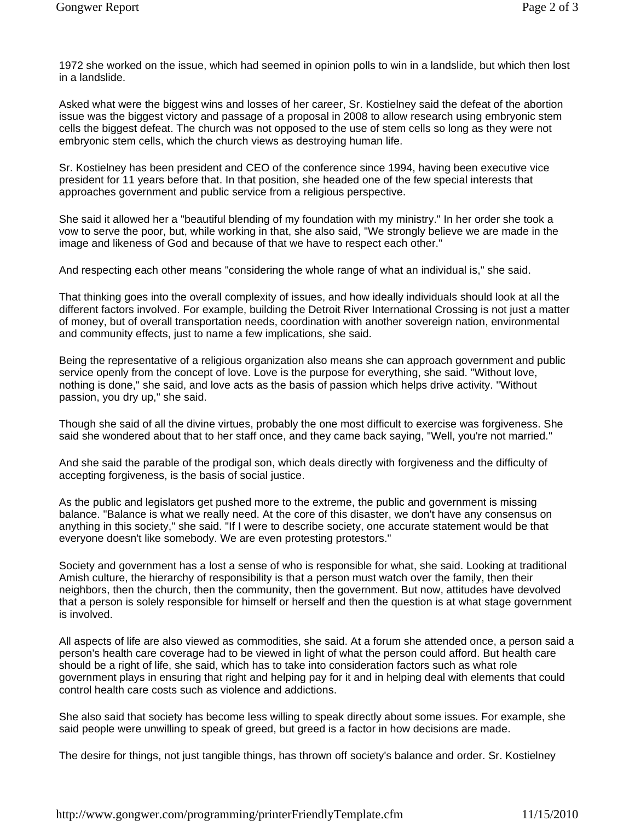1972 she worked on the issue, which had seemed in opinion polls to win in a landslide, but which then lost in a landslide.

Asked what were the biggest wins and losses of her career, Sr. Kostielney said the defeat of the abortion issue was the biggest victory and passage of a proposal in 2008 to allow research using embryonic stem cells the biggest defeat. The church was not opposed to the use of stem cells so long as they were not embryonic stem cells, which the church views as destroying human life.

Sr. Kostielney has been president and CEO of the conference since 1994, having been executive vice president for 11 years before that. In that position, she headed one of the few special interests that approaches government and public service from a religious perspective.

She said it allowed her a "beautiful blending of my foundation with my ministry." In her order she took a vow to serve the poor, but, while working in that, she also said, "We strongly believe we are made in the image and likeness of God and because of that we have to respect each other."

And respecting each other means "considering the whole range of what an individual is," she said.

That thinking goes into the overall complexity of issues, and how ideally individuals should look at all the different factors involved. For example, building the Detroit River International Crossing is not just a matter of money, but of overall transportation needs, coordination with another sovereign nation, environmental and community effects, just to name a few implications, she said.

Being the representative of a religious organization also means she can approach government and public service openly from the concept of love. Love is the purpose for everything, she said. "Without love, nothing is done," she said, and love acts as the basis of passion which helps drive activity. "Without passion, you dry up," she said.

Though she said of all the divine virtues, probably the one most difficult to exercise was forgiveness. She said she wondered about that to her staff once, and they came back saying, "Well, you're not married."

And she said the parable of the prodigal son, which deals directly with forgiveness and the difficulty of accepting forgiveness, is the basis of social justice.

As the public and legislators get pushed more to the extreme, the public and government is missing balance. "Balance is what we really need. At the core of this disaster, we don't have any consensus on anything in this society," she said. "If I were to describe society, one accurate statement would be that everyone doesn't like somebody. We are even protesting protestors."

Society and government has a lost a sense of who is responsible for what, she said. Looking at traditional Amish culture, the hierarchy of responsibility is that a person must watch over the family, then their neighbors, then the church, then the community, then the government. But now, attitudes have devolved that a person is solely responsible for himself or herself and then the question is at what stage government is involved.

All aspects of life are also viewed as commodities, she said. At a forum she attended once, a person said a person's health care coverage had to be viewed in light of what the person could afford. But health care should be a right of life, she said, which has to take into consideration factors such as what role government plays in ensuring that right and helping pay for it and in helping deal with elements that could control health care costs such as violence and addictions.

She also said that society has become less willing to speak directly about some issues. For example, she said people were unwilling to speak of greed, but greed is a factor in how decisions are made.

The desire for things, not just tangible things, has thrown off society's balance and order. Sr. Kostielney